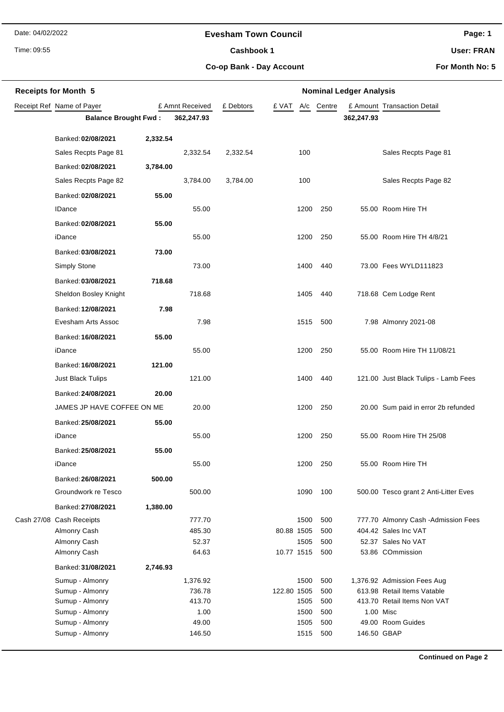Date: 04/02/2022

## **Evesham Town Council**

Time: 09:55

Cashbook 1

**Page: 1**

**User: FRAN**

**Co-op Bank - Day Account**

**For Month No: 5**

| <b>Receipts for Month 5</b> |                                    |          |                  | <b>Nominal Ledger Analysis</b> |                     |            |             |                                                            |  |  |
|-----------------------------|------------------------------------|----------|------------------|--------------------------------|---------------------|------------|-------------|------------------------------------------------------------|--|--|
|                             | Receipt Ref Name of Payer          |          | £ Amnt Received  | £ Debtors                      | £ VAT               | A/c Centre |             | £ Amount Transaction Detail                                |  |  |
|                             | <b>Balance Brought Fwd:</b>        |          | 362,247.93       |                                |                     |            | 362,247.93  |                                                            |  |  |
|                             | Banked: 02/08/2021                 | 2,332.54 |                  |                                |                     |            |             |                                                            |  |  |
|                             | Sales Recpts Page 81               |          | 2,332.54         | 2,332.54                       | 100                 |            |             | Sales Recpts Page 81                                       |  |  |
|                             | Banked: 02/08/2021                 | 3,784.00 |                  |                                |                     |            |             |                                                            |  |  |
|                             | Sales Recpts Page 82               |          | 3,784.00         | 3,784.00                       | 100                 |            |             | Sales Recpts Page 82                                       |  |  |
|                             | Banked: 02/08/2021                 | 55.00    |                  |                                |                     |            |             |                                                            |  |  |
|                             | <b>IDance</b>                      |          | 55.00            |                                | 1200                | 250        |             | 55.00 Room Hire TH                                         |  |  |
|                             | Banked: 02/08/2021                 | 55.00    |                  |                                |                     |            |             |                                                            |  |  |
|                             | iDance                             |          | 55.00            |                                | 1200                | 250        |             | 55.00 Room Hire TH 4/8/21                                  |  |  |
|                             | Banked: 03/08/2021                 | 73.00    |                  |                                |                     |            |             |                                                            |  |  |
|                             | Simply Stone                       |          | 73.00            |                                | 1400                | 440        |             | 73.00 Fees WYLD111823                                      |  |  |
|                             | Banked: 03/08/2021                 | 718.68   |                  |                                |                     |            |             |                                                            |  |  |
|                             | Sheldon Bosley Knight              |          | 718.68           |                                | 1405                | 440        |             | 718.68 Cem Lodge Rent                                      |  |  |
|                             | Banked: 12/08/2021                 | 7.98     |                  |                                |                     |            |             |                                                            |  |  |
|                             | Evesham Arts Assoc                 |          | 7.98             |                                | 1515                | 500        |             | 7.98 Almonry 2021-08                                       |  |  |
|                             | Banked: 16/08/2021                 | 55.00    |                  |                                |                     |            |             |                                                            |  |  |
|                             | iDance                             |          | 55.00            |                                | 1200                | 250        |             | 55.00 Room Hire TH 11/08/21                                |  |  |
|                             | Banked: 16/08/2021                 | 121.00   |                  |                                |                     |            |             |                                                            |  |  |
|                             | <b>Just Black Tulips</b>           |          | 121.00           |                                | 1400                | 440        |             | 121.00 Just Black Tulips - Lamb Fees                       |  |  |
|                             | Banked: 24/08/2021                 | 20.00    |                  |                                |                     |            |             |                                                            |  |  |
|                             | JAMES JP HAVE COFFEE ON ME         |          | 20.00            |                                | 1200                | 250        |             | 20.00 Sum paid in error 2b refunded                        |  |  |
|                             | Banked: 25/08/2021                 | 55.00    |                  |                                |                     |            |             |                                                            |  |  |
|                             | iDance                             |          | 55.00            |                                | 1200                | 250        |             | 55.00 Room Hire TH 25/08                                   |  |  |
|                             | Banked: 25/08/2021                 | 55.00    |                  |                                |                     |            |             |                                                            |  |  |
|                             | iDance                             |          | 55.00            |                                | 1200                | 250        |             | 55.00 Room Hire TH                                         |  |  |
|                             | Banked: 26/08/2021                 | 500.00   |                  |                                |                     |            |             |                                                            |  |  |
|                             | Groundwork re Tesco                |          | 500.00           |                                | 1090                | 100        |             | 500.00 Tesco grant 2 Anti-Litter Eves                      |  |  |
|                             | Banked: 27/08/2021                 | 1,380.00 |                  |                                |                     |            |             |                                                            |  |  |
|                             | Cash 27/08 Cash Receipts           |          | 777.70           |                                | 1500                | 500        |             | 777.70 Almonry Cash - Admission Fees                       |  |  |
|                             | Almonry Cash                       |          | 485.30           |                                | 80.88 1505          | 500        |             | 404.42 Sales Inc VAT                                       |  |  |
|                             | Almonry Cash                       |          | 52.37            |                                | 1505                | 500        |             | 52.37 Sales No VAT                                         |  |  |
|                             | Almonry Cash                       |          | 64.63            |                                | 10.77 1515          | 500        |             | 53.86 COmmission                                           |  |  |
|                             | Banked: 31/08/2021                 | 2,746.93 |                  |                                |                     |            |             |                                                            |  |  |
|                             | Sumup - Almonry                    |          | 1,376.92         |                                | 1500                | 500        |             | 1,376.92 Admission Fees Aug                                |  |  |
|                             | Sumup - Almonry<br>Sumup - Almonry |          | 736.78<br>413.70 |                                | 122.80 1505<br>1505 | 500<br>500 |             | 613.98 Retail Items Vatable<br>413.70 Retail Items Non VAT |  |  |
|                             | Sumup - Almonry                    |          | 1.00             |                                | 1500                | 500        |             | 1.00 Misc                                                  |  |  |
|                             | Sumup - Almonry                    |          | 49.00            |                                | 1505                | 500        |             | 49.00 Room Guides                                          |  |  |
|                             | Sumup - Almonry                    |          | 146.50           |                                | 1515                | 500        | 146.50 GBAP |                                                            |  |  |
|                             |                                    |          |                  |                                |                     |            |             |                                                            |  |  |

**Continued on Page 2**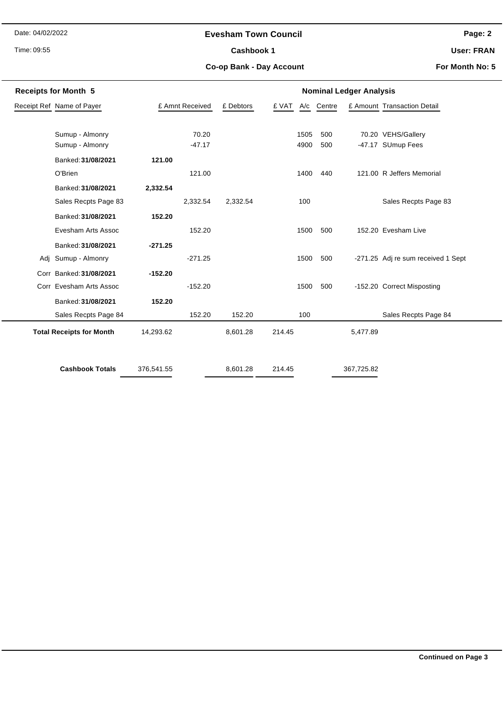Date: 04/02/2022

Time: 09:55

# **Evesham Town Council**

Cashbook 1

**Page: 2**

**User: FRAN**

**Co-op Bank - Day Account**

**For Month No: 5**

| <b>Receipts for Month 5</b> |                                 |            |                 | <b>Nominal Ledger Analysis</b> |        |      |            |            |                                    |  |
|-----------------------------|---------------------------------|------------|-----------------|--------------------------------|--------|------|------------|------------|------------------------------------|--|
| Receipt Ref Name of Payer   |                                 |            | £ Amnt Received |                                | £ VAT  |      | A/c Centre |            | £ Amount Transaction Detail        |  |
|                             |                                 |            |                 |                                |        |      |            |            |                                    |  |
|                             | Sumup - Almonry                 |            | 70.20           |                                |        | 1505 | 500        |            | 70.20 VEHS/Gallery                 |  |
|                             | Sumup - Almonry                 |            | $-47.17$        |                                |        | 4900 | 500        |            | -47.17 SUmup Fees                  |  |
|                             | Banked: 31/08/2021              | 121.00     |                 |                                |        |      |            |            |                                    |  |
|                             | O'Brien                         |            | 121.00          |                                |        | 1400 | 440        |            | 121.00 R Jeffers Memorial          |  |
|                             | Banked: 31/08/2021              | 2,332.54   |                 |                                |        |      |            |            |                                    |  |
|                             | Sales Recpts Page 83            |            | 2,332.54        | 2,332.54                       |        | 100  |            |            | Sales Recpts Page 83               |  |
|                             | Banked: 31/08/2021              | 152.20     |                 |                                |        |      |            |            |                                    |  |
|                             | Evesham Arts Assoc              |            | 152.20          |                                |        | 1500 | 500        |            | 152.20 Evesham Live                |  |
|                             | Banked: 31/08/2021              | $-271.25$  |                 |                                |        |      |            |            |                                    |  |
| Adi                         | Sumup - Almonry                 |            | $-271.25$       |                                |        | 1500 | 500        |            | -271.25 Adj re sum received 1 Sept |  |
|                             | Corr Banked: 31/08/2021         | $-152.20$  |                 |                                |        |      |            |            |                                    |  |
|                             | Corr Evesham Arts Assoc         |            | $-152.20$       |                                |        | 1500 | 500        |            | -152.20 Correct Misposting         |  |
|                             | Banked: 31/08/2021              | 152.20     |                 |                                |        |      |            |            |                                    |  |
|                             | Sales Recpts Page 84            |            | 152.20          | 152.20                         |        | 100  |            |            | Sales Recpts Page 84               |  |
|                             | <b>Total Receipts for Month</b> | 14,293.62  |                 | 8,601.28                       | 214.45 |      |            | 5,477.89   |                                    |  |
|                             |                                 |            |                 |                                |        |      |            |            |                                    |  |
|                             | <b>Cashbook Totals</b>          | 376,541.55 |                 | 8,601.28                       | 214.45 |      |            | 367,725.82 |                                    |  |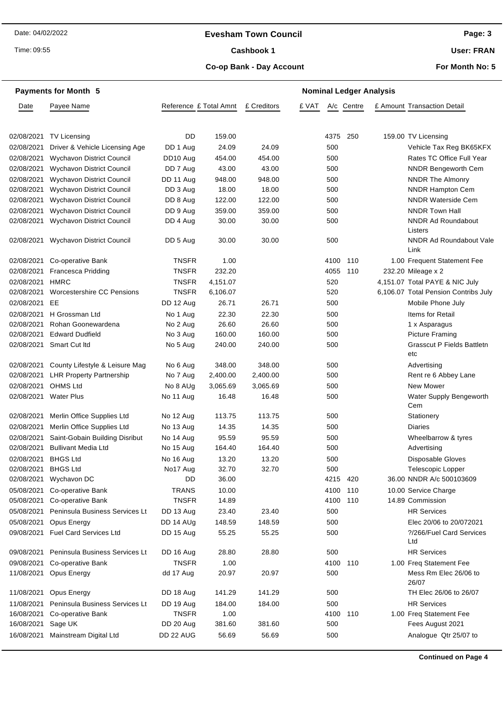## **Evesham Town Council**

Time: 09:55

## Cashbook 1

**User: FRAN**

## **Co-op Bank - Day Account**

**For Month No: 5**

|               | <b>Payments for Month 5</b>       |                        |          |             |       |      |            | <b>Nominal Ledger Analysis</b> |                                               |
|---------------|-----------------------------------|------------------------|----------|-------------|-------|------|------------|--------------------------------|-----------------------------------------------|
| Date          | Payee Name                        | Reference £ Total Amnt |          | £ Creditors | £ VAT |      | A/c Centre |                                | £ Amount Transaction Detail                   |
| 02/08/2021    |                                   | DD                     | 159.00   |             |       | 4375 | 250        |                                | 159.00 TV Licensing                           |
|               | TV Licensing                      |                        |          |             |       |      |            |                                |                                               |
| 02/08/2021    | Driver & Vehicle Licensing Age    | DD 1 Aug               | 24.09    | 24.09       |       | 500  |            |                                | Vehicle Tax Reg BK65KFX                       |
| 02/08/2021    | <b>Wychavon District Council</b>  | DD10 Aug               | 454.00   | 454.00      |       | 500  |            |                                | Rates TC Office Full Year                     |
| 02/08/2021    | <b>Wychavon District Council</b>  | DD 7 Aug               | 43.00    | 43.00       |       | 500  |            |                                | <b>NNDR Bengeworth Cem</b>                    |
| 02/08/2021    | <b>Wychavon District Council</b>  | DD 11 Aug              | 948.00   | 948.00      |       | 500  |            |                                | <b>NNDR The Almonry</b>                       |
| 02/08/2021    | Wychavon District Council         | DD 3 Aug               | 18.00    | 18.00       |       | 500  |            |                                | NNDR Hampton Cem<br><b>NNDR Waterside Cem</b> |
| 02/08/2021    | Wychavon District Council         | DD 8 Aug               | 122.00   | 122.00      |       | 500  |            |                                |                                               |
| 02/08/2021    | Wychavon District Council         | DD 9 Aug               | 359.00   | 359.00      |       | 500  |            |                                | NNDR Town Hall                                |
| 02/08/2021    | Wychavon District Council         | DD 4 Aug               | 30.00    | 30.00       |       | 500  |            |                                | <b>NNDR Ad Roundabout</b><br>Listers          |
| 02/08/2021    | <b>Wychavon District Council</b>  | DD 5 Aug               | 30.00    | 30.00       |       | 500  |            |                                | <b>NNDR Ad Roundabout Vale</b><br>Link        |
| 02/08/2021    | Co-operative Bank                 | <b>TNSFR</b>           | 1.00     |             |       | 4100 | 110        |                                | 1.00 Frequent Statement Fee                   |
| 02/08/2021    | <b>Francesca Pridding</b>         | <b>TNSFR</b>           | 232.20   |             |       | 4055 | 110        |                                | 232.20 Mileage x 2                            |
| 02/08/2021    | <b>HMRC</b>                       | <b>TNSFR</b>           | 4,151.07 |             |       | 520  |            |                                | 4,151.07 Total PAYE & NIC July                |
| 02/08/2021    | Worcestershire CC Pensions        | <b>TNSFR</b>           | 6,106.07 |             |       | 520  |            |                                | 6,106.07 Total Pension Contribs July          |
| 02/08/2021 EE |                                   | DD 12 Aug              | 26.71    | 26.71       |       | 500  |            |                                | Mobile Phone July                             |
| 02/08/2021    | H Grossman Ltd                    | No 1 Aug               | 22.30    | 22.30       |       | 500  |            |                                | Items for Retail                              |
| 02/08/2021    | Rohan Goonewardena                | No 2 Aug               | 26.60    | 26.60       |       | 500  |            |                                | 1 x Asparagus                                 |
| 02/08/2021    | <b>Edward Dudfield</b>            | No 3 Aug               | 160.00   | 160.00      |       | 500  |            |                                | <b>Picture Framing</b>                        |
|               | 02/08/2021 Smart Cut ltd          | No 5 Aug               | 240.00   | 240.00      |       | 500  |            |                                | <b>Grasscut P Fields Battletn</b><br>etc      |
| 02/08/2021    | County Lifestyle & Leisure Mag    | No 6 Aug               | 348.00   | 348.00      |       | 500  |            |                                | Advertising                                   |
| 02/08/2021    | <b>LHR Property Partnership</b>   | No 7 Aug               | 2,400.00 | 2,400.00    |       | 500  |            |                                | Rent re 6 Abbey Lane                          |
| 02/08/2021    | <b>OHMS Ltd</b>                   | No 8 AUg               | 3,065.69 | 3,065.69    |       | 500  |            |                                | New Mower                                     |
| 02/08/2021    | <b>Water Plus</b>                 | No 11 Aug              | 16.48    | 16.48       |       | 500  |            |                                | Water Supply Bengeworth<br>Cem                |
| 02/08/2021    | Merlin Office Supplies Ltd        | No 12 Aug              | 113.75   | 113.75      |       | 500  |            |                                | Stationery                                    |
| 02/08/2021    | Merlin Office Supplies Ltd        | No 13 Aug              | 14.35    | 14.35       |       | 500  |            |                                | <b>Diaries</b>                                |
| 02/08/2021    | Saint-Gobain Building Disribut    | No 14 Aug              | 95.59    | 95.59       |       | 500  |            |                                | Wheelbarrow & tyres                           |
| 02/08/2021    | <b>Bullivant Media Ltd</b>        | No 15 Aug              | 164.40   | 164.40      |       | 500  |            |                                | Advertising                                   |
| 02/08/2021    | <b>BHGS Ltd</b>                   | No 16 Aug              | 13.20    | 13.20       |       | 500  |            |                                | Disposable Gloves                             |
| 02/08/2021    | <b>BHGS Ltd</b>                   | No17 Aug               | 32.70    | 32.70       |       | 500  |            |                                | Telescopic Lopper                             |
| 02/08/2021    | Wychavon DC                       | DD                     | 36.00    |             |       | 4215 | 420        |                                | 36.00 NNDR A/c 500103609                      |
| 05/08/2021    | Co-operative Bank                 | <b>TRANS</b>           | 10.00    |             |       | 4100 | 110        |                                | 10.00 Service Charge                          |
| 05/08/2021    | Co-operative Bank                 | <b>TNSFR</b>           | 14.89    |             |       | 4100 | 110        |                                | 14.89 Commission                              |
| 05/08/2021    | Peninsula Business Services Lt    | DD 13 Aug              | 23.40    | 23.40       |       | 500  |            |                                | <b>HR Services</b>                            |
| 05/08/2021    | Opus Energy                       | DD 14 AUg              | 148.59   | 148.59      |       | 500  |            |                                | Elec 20/06 to 20/072021                       |
|               | 09/08/2021 Fuel Card Services Ltd | DD 15 Aug              | 55.25    | 55.25       |       | 500  |            |                                | ?/266/Fuel Card Services<br>Ltd               |
| 09/08/2021    | Peninsula Business Services Lt    | DD 16 Aug              | 28.80    | 28.80       |       | 500  |            |                                | <b>HR Services</b>                            |
| 09/08/2021    | Co-operative Bank                 | <b>TNSFR</b>           | 1.00     |             |       | 4100 | 110        |                                | 1.00 Freq Statement Fee                       |
| 11/08/2021    | Opus Energy                       | dd 17 Aug              | 20.97    | 20.97       |       | 500  |            |                                | Mess Rm Elec 26/06 to<br>26/07                |
| 11/08/2021    | Opus Energy                       | DD 18 Aug              | 141.29   | 141.29      |       | 500  |            |                                | TH Elec 26/06 to 26/07                        |
| 11/08/2021    | Peninsula Business Services Lt    | DD 19 Aug              | 184.00   | 184.00      |       | 500  |            |                                | <b>HR Services</b>                            |
| 16/08/2021    | Co-operative Bank                 | <b>TNSFR</b>           | 1.00     |             |       | 4100 | 110        |                                | 1.00 Freq Statement Fee                       |
| 16/08/2021    | Sage UK                           | DD 20 Aug              | 381.60   | 381.60      |       | 500  |            |                                | Fees August 2021                              |
| 16/08/2021    | Mainstream Digital Ltd            | DD 22 AUG              | 56.69    | 56.69       |       | 500  |            |                                | Analogue Qtr 25/07 to                         |
|               |                                   |                        |          |             |       |      |            |                                |                                               |

**Continued on Page 4**

**Page: 3**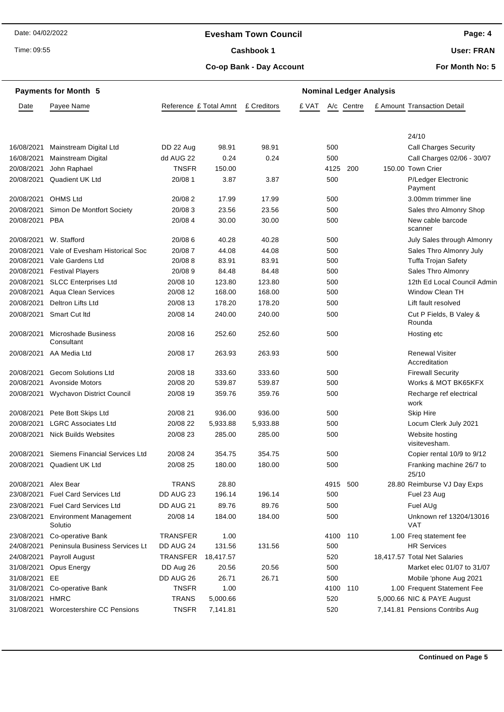## **Evesham Town Council**

Time: 09:55

## Cashbook 1

**Page: 4**

**User: FRAN**

**Co-op Bank - Day Account**

**For Month No: 5**

|               | <b>Payments for Month 5</b>               |                        | <b>Nominal Ledger Analysis</b> |             |       |          |            |  |                                         |
|---------------|-------------------------------------------|------------------------|--------------------------------|-------------|-------|----------|------------|--|-----------------------------------------|
| Date          | Payee Name                                | Reference £ Total Amnt |                                | £ Creditors | £ VAT |          | A/c Centre |  | £ Amount Transaction Detail             |
|               |                                           |                        |                                |             |       |          |            |  |                                         |
|               |                                           |                        |                                |             |       |          |            |  | 24/10                                   |
| 16/08/2021    | Mainstream Digital Ltd                    | DD 22 Aug              | 98.91                          | 98.91       |       | 500      |            |  | <b>Call Charges Security</b>            |
| 16/08/2021    | <b>Mainstream Digital</b>                 | dd AUG 22              | 0.24                           | 0.24        |       | 500      |            |  | Call Charges 02/06 - 30/07              |
| 20/08/2021    | John Raphael                              | <b>TNSFR</b>           | 150.00                         |             |       | 4125     | 200        |  | 150.00 Town Crier                       |
| 20/08/2021    | Quadient UK Ltd                           | 20/08 1                | 3.87                           | 3.87        |       | 500      |            |  | P/Ledger Electronic<br>Payment          |
| 20/08/2021    | <b>OHMS Ltd</b>                           | 20/08 2                | 17.99                          | 17.99       |       | 500      |            |  | 3.00mm trimmer line                     |
| 20/08/2021    | Simon De Montfort Society                 | 20/083                 | 23.56                          | 23.56       |       | 500      |            |  | Sales thro Almonry Shop                 |
| 20/08/2021    | <b>PBA</b>                                | 20/08 4                | 30.00                          | 30.00       |       | 500      |            |  | New cable barcode<br>scanner            |
| 20/08/2021    | W. Stafford                               | 20/08 6                | 40.28                          | 40.28       |       | 500      |            |  | July Sales through Almonry              |
| 20/08/2021    | Vale of Evesham Historical Soc            | 20/087                 | 44.08                          | 44.08       |       | 500      |            |  | Sales Thro Almonry July                 |
| 20/08/2021    | Vale Gardens Ltd                          | 20/088                 | 83.91                          | 83.91       |       | 500      |            |  | Tuffa Trojan Safety                     |
| 20/08/2021    | <b>Festival Players</b>                   | 20/089                 | 84.48                          | 84.48       |       | 500      |            |  | Sales Thro Almonry                      |
| 20/08/2021    | <b>SLCC Enterprises Ltd</b>               | 20/08 10               | 123.80                         | 123.80      |       | 500      |            |  | 12th Ed Local Council Admin             |
| 20/08/2021    | Aqua Clean Services                       | 20/08 12               | 168.00                         | 168.00      |       | 500      |            |  | Window Clean TH                         |
| 20/08/2021    | Deltron Lifts Ltd                         | 20/08 13               | 178.20                         | 178.20      |       | 500      |            |  | Lift fault resolved                     |
| 20/08/2021    | Smart Cut Itd                             | 20/08 14               | 240.00                         | 240.00      |       | 500      |            |  | Cut P Fields, B Valey &<br>Rounda       |
| 20/08/2021    | Microshade Business<br>Consultant         | 20/08 16               | 252.60                         | 252.60      |       | 500      |            |  | Hosting etc                             |
| 20/08/2021    | AA Media Ltd                              | 20/08 17               | 263.93                         | 263.93      |       | 500      |            |  | <b>Renewal Visiter</b><br>Accreditation |
| 20/08/2021    | <b>Gecom Solutions Ltd</b>                | 20/08 18               | 333.60                         | 333.60      |       | 500      |            |  | <b>Firewall Security</b>                |
| 20/08/2021    | <b>Avonside Motors</b>                    | 20/08 20               | 539.87                         | 539.87      |       | 500      |            |  | Works & MOT BK65KFX                     |
| 20/08/2021    | Wychavon District Council                 | 20/08 19               | 359.76                         | 359.76      |       | 500      |            |  | Recharge ref electrical<br>work         |
| 20/08/2021    | Pete Bott Skips Ltd                       | 20/08 21               | 936.00                         | 936.00      |       | 500      |            |  | Skip Hire                               |
| 20/08/2021    | <b>LGRC Associates Ltd</b>                | 20/08 22               | 5,933.88                       | 5,933.88    |       | 500      |            |  | Locum Clerk July 2021                   |
| 20/08/2021    | <b>Nick Builds Websites</b>               | 20/08 23               | 285.00                         | 285.00      |       | 500      |            |  | Website hosting<br>visitevesham.        |
|               | 20/08/2021 Siemens Financial Services Ltd | 20/08 24               | 354.75                         | 354.75      |       | 500      |            |  | Copier rental 10/9 to 9/12              |
|               | 20/08/2021 Quadient UK Ltd                | 20/08 25               | 180.00                         | 180.00      |       | 500      |            |  | Franking machine 26/7 to<br>25/10       |
| 20/08/2021    | Alex Bear                                 | <b>TRANS</b>           | 28.80                          |             |       | 4915 500 |            |  | 28.80 Reimburse VJ Day Exps             |
| 23/08/2021    | <b>Fuel Card Services Ltd</b>             | DD AUG 23              | 196.14                         | 196.14      |       | 500      |            |  | Fuel 23 Aug                             |
| 23/08/2021    | <b>Fuel Card Services Ltd</b>             | DD AUG 21              | 89.76                          | 89.76       |       | 500      |            |  | Fuel AUg                                |
| 23/08/2021    | <b>Environment Management</b><br>Solutio  | 20/08 14               | 184.00                         | 184.00      |       | 500      |            |  | Unknown ref 13204/13016<br>VAT          |
| 23/08/2021    | Co-operative Bank                         | <b>TRANSFER</b>        | 1.00                           |             |       | 4100     | 110        |  | 1.00 Freq statement fee                 |
| 24/08/2021    | Peninsula Business Services Lt            | DD AUG 24              | 131.56                         | 131.56      |       | 500      |            |  | <b>HR Services</b>                      |
| 24/08/2021    | Payroll August                            | <b>TRANSFER</b>        | 18,417.57                      |             |       | 520      |            |  | 18,417.57 Total Net Salaries            |
| 31/08/2021    | Opus Energy                               | DD Aug 26              | 20.56                          | 20.56       |       | 500      |            |  | Market elec 01/07 to 31/07              |
| 31/08/2021 EE |                                           | DD AUG 26              | 26.71                          | 26.71       |       | 500      |            |  | Mobile 'phone Aug 2021                  |
| 31/08/2021    | Co-operative Bank                         | <b>TNSFR</b>           | 1.00                           |             |       | 4100     | 110        |  | 1.00 Frequent Statement Fee             |
| 31/08/2021    | HMRC                                      | <b>TRANS</b>           | 5,000.66                       |             |       | 520      |            |  | 5,000.66 NIC & PAYE August              |
| 31/08/2021    | <b>Worcestershire CC Pensions</b>         | <b>TNSFR</b>           | 7,141.81                       |             |       | 520      |            |  | 7,141.81 Pensions Contribs Aug          |